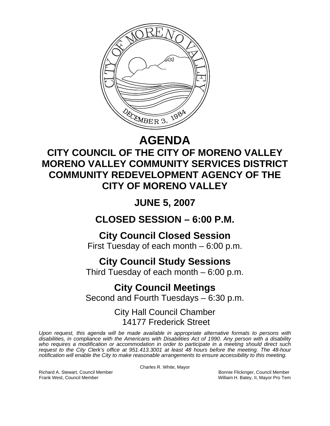

# **AGENDA**

## **CITY COUNCIL OF THE CITY OF MORENO VALLEY MORENO VALLEY COMMUNITY SERVICES DISTRICT COMMUNITY REDEVELOPMENT AGENCY OF THE CITY OF MORENO VALLEY**

# **JUNE 5, 2007**

### **CLOSED SESSION – 6:00 P.M.**

### **City Council Closed Session**

First Tuesday of each month – 6:00 p.m.

### **City Council Study Sessions**

Third Tuesday of each month – 6:00 p.m.

# **City Council Meetings**

Second and Fourth Tuesdays – 6:30 p.m.

### City Hall Council Chamber 14177 Frederick Street

*Upon request, this agenda will be made available in appropriate alternative formats to persons with disabilities, in compliance with the Americans with Disabilities Act of 1990. Any person with a disability who requires a modification or accommodation in order to participate in a meeting should direct such request to the City Clerk's office at 951.413.3001 at least 48 hours before the meeting. The 48-hour notification will enable the City to make reasonable arrangements to ensure accessibility to this meeting.* 

Charles R. White, Mayor

Richard A. Stewart, Council Member **Bonnie Flickinger, Council Member** Bonnie Flickinger, Council Member Frank West, Council Member Network Council Member Network Council Member Network Council Member Network Council Member Network Council Member Network Council Member Network Council Member Network Council Member Network Cou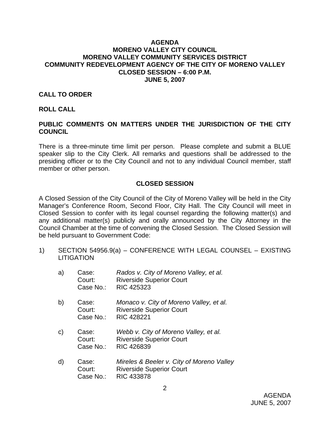#### **AGENDA MORENO VALLEY CITY COUNCIL MORENO VALLEY COMMUNITY SERVICES DISTRICT COMMUNITY REDEVELOPMENT AGENCY OF THE CITY OF MORENO VALLEY CLOSED SESSION – 6:00 P.M. JUNE 5, 2007**

#### **CALL TO ORDER**

#### **ROLL CALL**

### **PUBLIC COMMENTS ON MATTERS UNDER THE JURISDICTION OF THE CITY COUNCIL**

There is a three-minute time limit per person. Please complete and submit a BLUE speaker slip to the City Clerk. All remarks and questions shall be addressed to the presiding officer or to the City Council and not to any individual Council member, staff member or other person.

#### **CLOSED SESSION**

A Closed Session of the City Council of the City of Moreno Valley will be held in the City Manager's Conference Room, Second Floor, City Hall. The City Council will meet in Closed Session to confer with its legal counsel regarding the following matter(s) and any additional matter(s) publicly and orally announced by the City Attorney in the Council Chamber at the time of convening the Closed Session. The Closed Session will be held pursuant to Government Code:

1) SECTION 54956.9(a) – CONFERENCE WITH LEGAL COUNSEL – EXISTING **LITIGATION** 

| a)           | Case:<br>Court:<br>Case No.: | Rados v. City of Moreno Valley, et al.<br><b>Riverside Superior Court</b><br>RIC 425323         |
|--------------|------------------------------|-------------------------------------------------------------------------------------------------|
| b)           | Case:<br>Court:<br>Case No.: | Monaco v. City of Moreno Valley, et al.<br><b>Riverside Superior Court</b><br><b>RIC 428221</b> |
| $\mathsf{C}$ | Case:<br>Court:<br>Case No.: | Webb v. City of Moreno Valley, et al.<br><b>Riverside Superior Court</b><br>RIC 426839          |
| d)           | Case:<br>Court:              | Mireles & Beeler v. City of Moreno Valley<br><b>Riverside Superior Court</b>                    |

Case No.: RIC 433878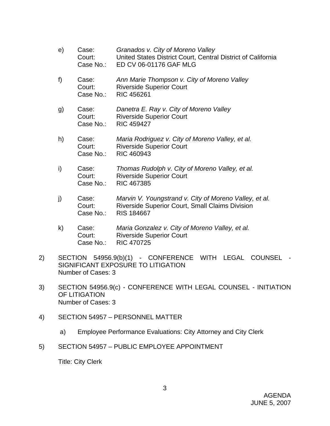| e) | Case:<br>Court:<br>Case No.: | Granados v. City of Moreno Valley<br>United States District Court, Central District of California<br>ED CV 06-01176 GAF MLG |
|----|------------------------------|-----------------------------------------------------------------------------------------------------------------------------|
| f) | Case:<br>Court:<br>Case No.: | Ann Marie Thompson v. City of Moreno Valley<br><b>Riverside Superior Court</b><br><b>RIC 456261</b>                         |
| g) | Case:<br>Court:<br>Case No.: | Danetra E. Ray v. City of Moreno Valley<br><b>Riverside Superior Court</b><br><b>RIC 459427</b>                             |
| h) | Case:<br>Court:<br>Case No.: | Maria Rodriguez v. City of Moreno Valley, et al.<br><b>Riverside Superior Court</b><br>RIC 460943                           |
| i) | Case:<br>Court:<br>Case No.: | Thomas Rudolph v. City of Moreno Valley, et al.<br><b>Riverside Superior Court</b><br><b>RIC 467385</b>                     |

- j) Case: *Marvin V. Youngstrand v. City of Moreno Valley, et al.* Court: Riverside Superior Court, Small Claims Division Case No.: RIS 184667
- k) Case: *Maria Gonzalez v. City of Moreno Valley, et al.*  Court: Riverside Superior Court Case No.: RIC 470725
- 2) SECTION 54956.9(b)(1) CONFERENCE WITH LEGAL COUNSEL SIGNIFICANT EXPOSURE TO LITIGATION Number of Cases: 3
- 3) SECTION 54956.9(c) CONFERENCE WITH LEGAL COUNSEL INITIATION OF LITIGATION Number of Cases: 3
- 4) SECTION 54957 PERSONNEL MATTER
	- a) Employee Performance Evaluations: City Attorney and City Clerk
- 5) SECTION 54957 PUBLIC EMPLOYEE APPOINTMENT

Title: City Clerk